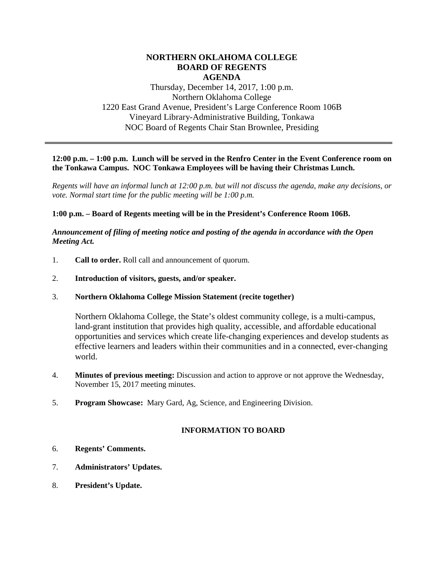## **NORTHERN OKLAHOMA COLLEGE BOARD OF REGENTS AGENDA**

Thursday, December 14, 2017, 1:00 p.m. Northern Oklahoma College 1220 East Grand Avenue, President's Large Conference Room 106B Vineyard Library-Administrative Building, Tonkawa NOC Board of Regents Chair Stan Brownlee, Presiding

### **12:00 p.m. – 1:00 p.m. Lunch will be served in the Renfro Center in the Event Conference room on the Tonkawa Campus. NOC Tonkawa Employees will be having their Christmas Lunch.**

*Regents will have an informal lunch at 12:00 p.m. but will not discuss the agenda, make any decisions, or vote. Normal start time for the public meeting will be 1:00 p.m.*

### **1:00 p.m. – Board of Regents meeting will be in the President's Conference Room 106B.**

#### *Announcement of filing of meeting notice and posting of the agenda in accordance with the Open Meeting Act.*

- 1. **Call to order.** Roll call and announcement of quorum.
- 2. **Introduction of visitors, guests, and/or speaker.**

#### 3. **Northern Oklahoma College Mission Statement (recite together)**

Northern Oklahoma College, the State's oldest community college, is a multi-campus, land-grant institution that provides high quality, accessible, and affordable educational opportunities and services which create life-changing experiences and develop students as effective learners and leaders within their communities and in a connected, ever-changing world.

- 4. **Minutes of previous meeting:** Discussion and action to approve or not approve the Wednesday, November 15, 2017 meeting minutes.
- 5. **Program Showcase:** Mary Gard, Ag, Science, and Engineering Division.

## **INFORMATION TO BOARD**

- 6. **Regents' Comments.**
- 7. **Administrators' Updates.**
- 8. **President's Update.**